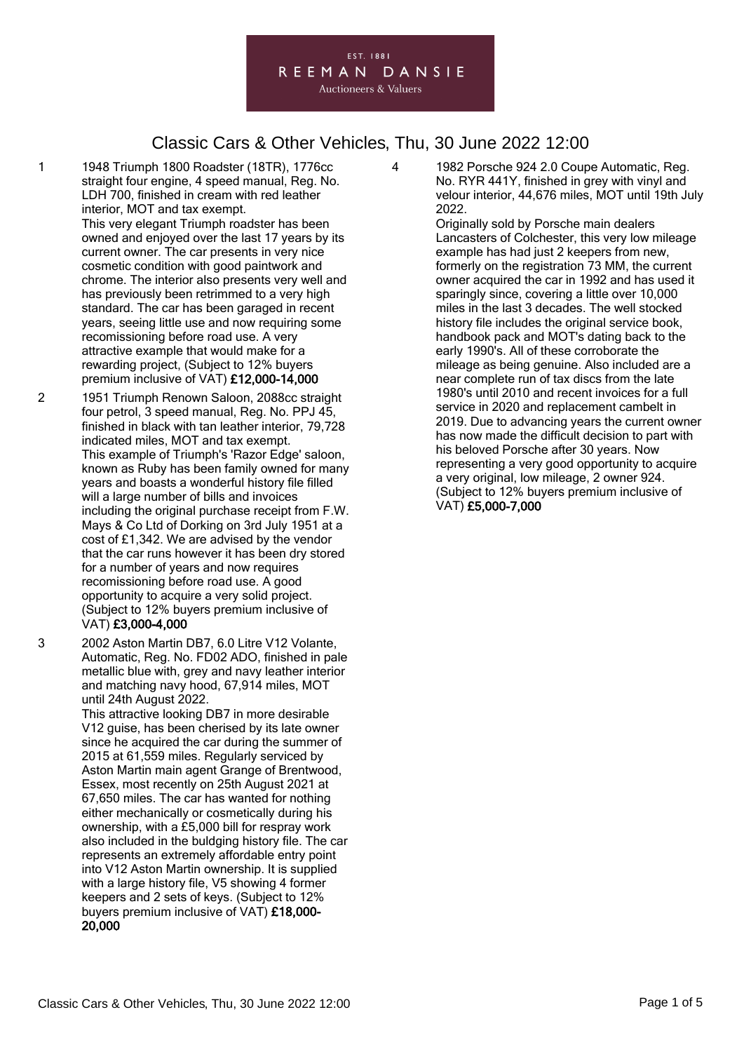### EST. 1881 REEMAN DANSIE

**Auctioneers & Valuers** 

# Classic Cars & Other Vehicles, Thu, 30 June 2022 12:00

- 1 1948 Triumph 1800 Roadster (18TR), 1776cc straight four engine, 4 speed manual, Reg. No. LDH 700, finished in cream with red leather interior, MOT and tax exempt. This very elegant Triumph roadster has been owned and enjoyed over the last 17 years by its current owner. The car presents in very nice cosmetic condition with good paintwork and chrome. The interior also presents very well and has previously been retrimmed to a very high standard. The car has been garaged in recent years, seeing little use and now requiring some recomissioning before road use. A very attractive example that would make for a rewarding project, (Subject to 12% buyers premium inclusive of VAT) £12,000-14,000
- 2 1951 Triumph Renown Saloon, 2088cc straight four petrol, 3 speed manual, Reg. No. PPJ 45, finished in black with tan leather interior, 79,728 indicated miles, MOT and tax exempt. This example of Triumph's 'Razor Edge' saloon, known as Ruby has been family owned for many years and boasts a wonderful history file filled will a large number of bills and invoices including the original purchase receipt from F.W. Mays & Co Ltd of Dorking on 3rd July 1951 at a cost of £1,342. We are advised by the vendor that the car runs however it has been dry stored for a number of years and now requires recomissioning before road use. A good opportunity to acquire a very solid project. (Subject to 12% buyers premium inclusive of VAT) £3,000-4,000
- 3 2002 Aston Martin DB7, 6.0 Litre V12 Volante, Automatic, Reg. No. FD02 ADO, finished in pale metallic blue with, grey and navy leather interior and matching navy hood, 67,914 miles, MOT until 24th August 2022.
	- This attractive looking DB7 in more desirable V12 guise, has been cherised by its late owner since he acquired the car during the summer of 2015 at 61,559 miles. Regularly serviced by Aston Martin main agent Grange of Brentwood, Essex, most recently on 25th August 2021 at 67,650 miles. The car has wanted for nothing either mechanically or cosmetically during his ownership, with a £5,000 bill for respray work also included in the buldging history file. The car represents an extremely affordable entry point into V12 Aston Martin ownership. It is supplied with a large history file, V5 showing 4 former keepers and 2 sets of keys. (Subject to 12% buyers premium inclusive of VAT) £18,000- 20,000

4 1982 Porsche 924 2.0 Coupe Automatic, Reg. No. RYR 441Y, finished in grey with vinyl and velour interior, 44,676 miles, MOT until 19th July 2022.

Originally sold by Porsche main dealers Lancasters of Colchester, this very low mileage example has had just 2 keepers from new, formerly on the registration 73 MM, the current owner acquired the car in 1992 and has used it sparingly since, covering a little over 10,000 miles in the last 3 decades. The well stocked history file includes the original service book, handbook pack and MOT's dating back to the early 1990's. All of these corroborate the mileage as being genuine. Also included are a near complete run of tax discs from the late 1980's until 2010 and recent invoices for a full service in 2020 and replacement cambelt in 2019. Due to advancing years the current owner has now made the difficult decision to part with his beloved Porsche after 30 years. Now representing a very good opportunity to acquire a very original, low mileage, 2 owner 924. (Subject to 12% buyers premium inclusive of VAT) £5,000-7,000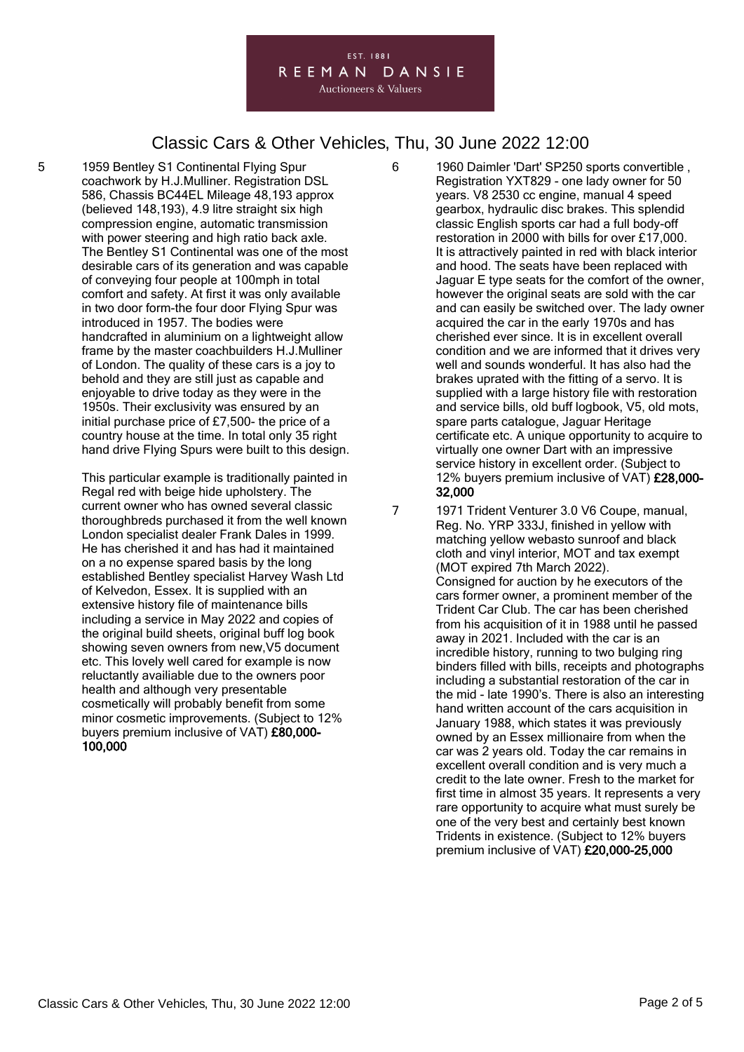#### EST. 1881 REEMAN DANSIE **Auctioneers & Valuers**

### Classic Cars & Other Vehicles, Thu, 30 June 2022 12:00

5 1959 Bentley S1 Continental Flying Spur coachwork by H.J.Mulliner. Registration DSL 586, Chassis BC44EL Mileage 48,193 approx (believed 148,193), 4.9 litre straight six high compression engine, automatic transmission with power steering and high ratio back axle. The Bentley S1 Continental was one of the most desirable cars of its generation and was capable of conveying four people at 100mph in total comfort and safety. At first it was only available in two door form-the four door Flying Spur was introduced in 1957. The bodies were handcrafted in aluminium on a lightweight allow frame by the master coachbuilders H.J.Mulliner of London. The quality of these cars is a joy to behold and they are still just as capable and enjoyable to drive today as they were in the 1950s. Their exclusivity was ensured by an initial purchase price of £7,500- the price of a country house at the time. In total only 35 right hand drive Flying Spurs were built to this design.

> This particular example is traditionally painted in Regal red with beige hide upholstery. The current owner who has owned several classic thoroughbreds purchased it from the well known London specialist dealer Frank Dales in 1999. He has cherished it and has had it maintained on a no expense spared basis by the long established Bentley specialist Harvey Wash Ltd of Kelvedon, Essex. It is supplied with an extensive history file of maintenance bills including a service in May 2022 and copies of the original build sheets, original buff log book showing seven owners from new,V5 document etc. This lovely well cared for example is now reluctantly availiable due to the owners poor health and although very presentable cosmetically will probably benefit from some minor cosmetic improvements. (Subject to 12% buyers premium inclusive of VAT) £80,000- 100,000

6 1960 Daimler 'Dart' SP250 sports convertible , Registration YXT829 - one lady owner for 50 years. V8 2530 cc engine, manual 4 speed gearbox, hydraulic disc brakes. This splendid classic English sports car had a full body-off restoration in 2000 with bills for over £17,000. It is attractively painted in red with black interior and hood. The seats have been replaced with Jaguar E type seats for the comfort of the owner, however the original seats are sold with the car and can easily be switched over. The lady owner acquired the car in the early 1970s and has cherished ever since. It is in excellent overall condition and we are informed that it drives very well and sounds wonderful. It has also had the brakes uprated with the fitting of a servo. It is supplied with a large history file with restoration and service bills, old buff logbook, V5, old mots, spare parts catalogue, Jaguar Heritage certificate etc. A unique opportunity to acquire to virtually one owner Dart with an impressive service history in excellent order. (Subject to 12% buyers premium inclusive of VAT) £28,000- 32,000

7 1971 Trident Venturer 3.0 V6 Coupe, manual, Reg. No. YRP 333J, finished in yellow with matching yellow webasto sunroof and black cloth and vinyl interior, MOT and tax exempt (MOT expired 7th March 2022). Consigned for auction by he executors of the cars former owner, a prominent member of the Trident Car Club. The car has been cherished from his acquisition of it in 1988 until he passed away in 2021. Included with the car is an incredible history, running to two bulging ring binders filled with bills, receipts and photographs including a substantial restoration of the car in the mid - late 1990's. There is also an interesting hand written account of the cars acquisition in January 1988, which states it was previously owned by an Essex millionaire from when the car was 2 years old. Today the car remains in excellent overall condition and is very much a credit to the late owner. Fresh to the market for first time in almost 35 years. It represents a very rare opportunity to acquire what must surely be one of the very best and certainly best known Tridents in existence. (Subject to 12% buyers premium inclusive of VAT) £20,000-25,000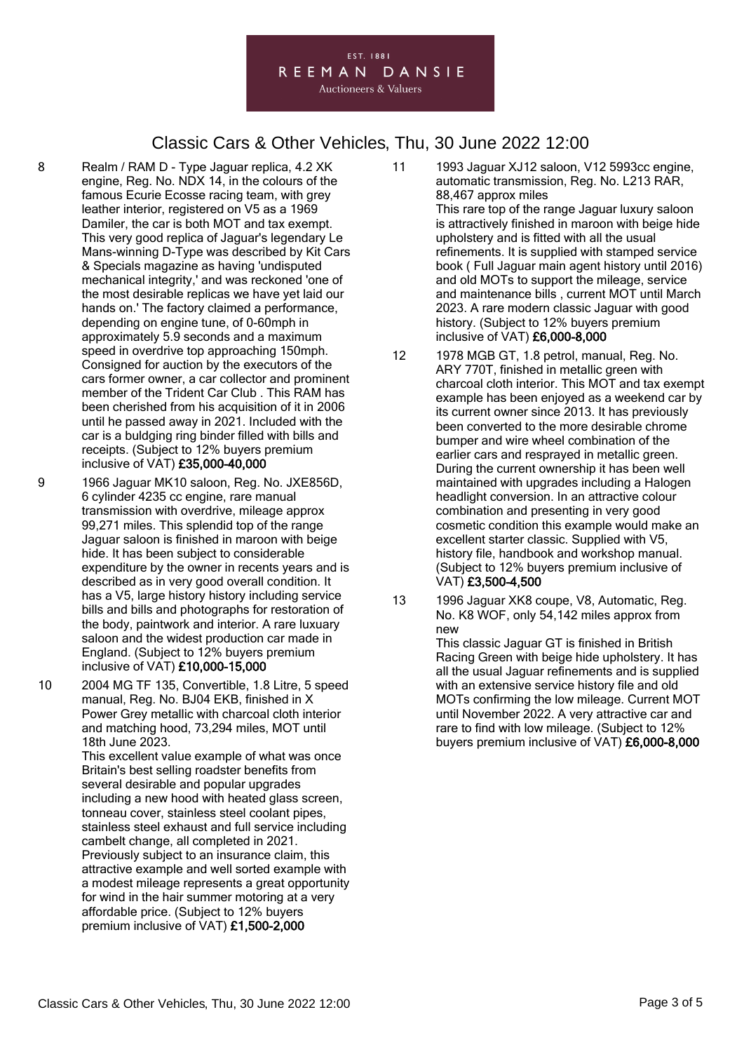#### EST. 1881 REEMAN DANSIE **Auctioneers & Valuers**

### Classic Cars & Other Vehicles, Thu, 30 June 2022 12:00

- 8 Realm / RAM D Type Jaguar replica, 4.2 XK engine, Reg. No. NDX 14, in the colours of the famous Ecurie Ecosse racing team, with grey leather interior, registered on V5 as a 1969 Damiler, the car is both MOT and tax exempt. This very good replica of Jaguar's legendary Le Mans-winning D-Type was described by Kit Cars & Specials magazine as having 'undisputed mechanical integrity,' and was reckoned 'one of the most desirable replicas we have yet laid our hands on.' The factory claimed a performance, depending on engine tune, of 0-60mph in approximately 5.9 seconds and a maximum speed in overdrive top approaching 150mph. Consigned for auction by the executors of the cars former owner, a car collector and prominent member of the Trident Car Club . This RAM has been cherished from his acquisition of it in 2006 until he passed away in 2021. Included with the car is a buldging ring binder filled with bills and receipts. (Subject to 12% buyers premium inclusive of VAT) £35,000-40,000
- 9 1966 Jaguar MK10 saloon, Reg. No. JXE856D, 6 cylinder 4235 cc engine, rare manual transmission with overdrive, mileage approx 99,271 miles. This splendid top of the range Jaguar saloon is finished in maroon with beige hide. It has been subject to considerable expenditure by the owner in recents years and is described as in very good overall condition. It has a V5, large history history including service bills and bills and photographs for restoration of the body, paintwork and interior. A rare luxuary saloon and the widest production car made in England. (Subject to 12% buyers premium inclusive of VAT) £10,000-15,000
- 10 2004 MG TF 135, Convertible, 1.8 Litre, 5 speed manual, Reg. No. BJ04 EKB, finished in X Power Grey metallic with charcoal cloth interior and matching hood, 73,294 miles, MOT until 18th June 2023. This excellent value example of what was once

Britain's best selling roadster benefits from several desirable and popular upgrades including a new hood with heated glass screen, tonneau cover, stainless steel coolant pipes, stainless steel exhaust and full service including cambelt change, all completed in 2021. Previously subject to an insurance claim, this attractive example and well sorted example with a modest mileage represents a great opportunity for wind in the hair summer motoring at a very affordable price. (Subject to 12% buyers premium inclusive of VAT) £1,500-2,000

- 11 1993 Jaguar XJ12 saloon, V12 5993cc engine, automatic transmission, Reg. No. L213 RAR, 88,467 approx miles This rare top of the range Jaguar luxury saloon is attractively finished in maroon with beige hide upholstery and is fitted with all the usual refinements. It is supplied with stamped service book ( Full Jaguar main agent history until 2016) and old MOTs to support the mileage, service and maintenance bills , current MOT until March 2023. A rare modern classic Jaguar with good history. (Subject to 12% buyers premium inclusive of VAT) £6,000-8,000
- 12 1978 MGB GT, 1.8 petrol, manual, Reg. No. ARY 770T, finished in metallic green with charcoal cloth interior. This MOT and tax exempt example has been enjoyed as a weekend car by its current owner since 2013. It has previously been converted to the more desirable chrome bumper and wire wheel combination of the earlier cars and resprayed in metallic green. During the current ownership it has been well maintained with upgrades including a Halogen headlight conversion. In an attractive colour combination and presenting in very good cosmetic condition this example would make an excellent starter classic. Supplied with V5, history file, handbook and workshop manual. (Subject to 12% buyers premium inclusive of VAT) £3,500-4,500
- 13 1996 Jaguar XK8 coupe, V8, Automatic, Reg. No. K8 WOF, only 54,142 miles approx from new

This classic Jaguar GT is finished in British Racing Green with beige hide upholstery. It has all the usual Jaguar refinements and is supplied with an extensive service history file and old MOTs confirming the low mileage. Current MOT until November 2022. A very attractive car and rare to find with low mileage. (Subject to 12% buyers premium inclusive of VAT) £6,000-8,000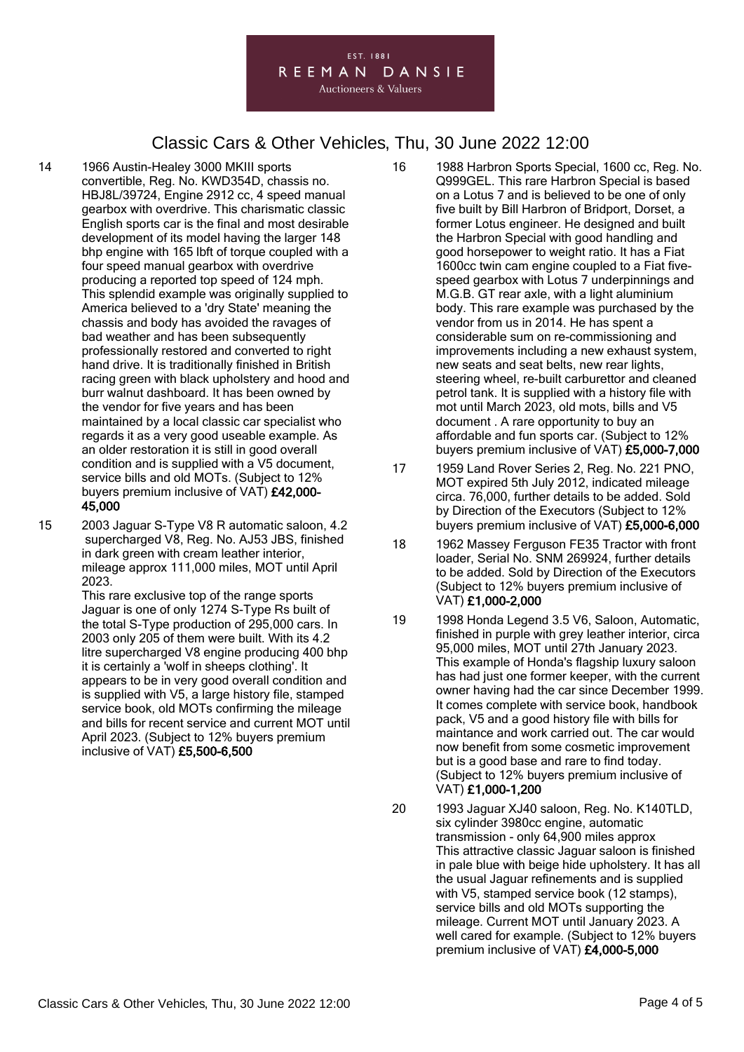#### EST. 1881 REEMAN DANSIE **Auctioneers & Valuers**

## Classic Cars & Other Vehicles, Thu, 30 June 2022 12:00

- 14 1966 Austin-Healey 3000 MKIII sports convertible, Reg. No. KWD354D, chassis no. HBJ8L/39724, Engine 2912 cc, 4 speed manual gearbox with overdrive. This charismatic classic English sports car is the final and most desirable development of its model having the larger 148 bhp engine with 165 lbft of torque coupled with a four speed manual gearbox with overdrive producing a reported top speed of 124 mph. This splendid example was originally supplied to America believed to a 'dry State' meaning the chassis and body has avoided the ravages of bad weather and has been subsequently professionally restored and converted to right hand drive. It is traditionally finished in British racing green with black upholstery and hood and burr walnut dashboard. It has been owned by the vendor for five years and has been maintained by a local classic car specialist who regards it as a very good useable example. As an older restoration it is still in good overall condition and is supplied with a V5 document, service bills and old MOTs. (Subject to 12% buyers premium inclusive of VAT) £42,000- 45,000
- 15 2003 Jaguar S-Type V8 R automatic saloon, 4.2 supercharged V8, Reg. No. AJ53 JBS, finished in dark green with cream leather interior, mileage approx 111,000 miles, MOT until April 2023.

This rare exclusive top of the range sports Jaguar is one of only 1274 S-Type Rs built of the total S-Type production of 295,000 cars. In 2003 only 205 of them were built. With its 4.2 litre supercharged V8 engine producing 400 bhp it is certainly a 'wolf in sheeps clothing'. It appears to be in very good overall condition and is supplied with V5, a large history file, stamped service book, old MOTs confirming the mileage and bills for recent service and current MOT until April 2023. (Subject to 12% buyers premium inclusive of VAT) £5,500-6,500

- 16 1988 Harbron Sports Special, 1600 cc, Reg. No. Q999GEL. This rare Harbron Special is based on a Lotus 7 and is believed to be one of only five built by Bill Harbron of Bridport, Dorset, a former Lotus engineer. He designed and built the Harbron Special with good handling and good horsepower to weight ratio. It has a Fiat 1600cc twin cam engine coupled to a Fiat fivespeed gearbox with Lotus 7 underpinnings and M.G.B. GT rear axle, with a light aluminium body. This rare example was purchased by the vendor from us in 2014. He has spent a considerable sum on re-commissioning and improvements including a new exhaust system, new seats and seat belts, new rear lights, steering wheel, re-built carburettor and cleaned petrol tank. It is supplied with a history file with mot until March 2023, old mots, bills and V5 document . A rare opportunity to buy an affordable and fun sports car. (Subject to 12% buyers premium inclusive of VAT) £5,000-7,000
- 17 1959 Land Rover Series 2, Reg. No. 221 PNO, MOT expired 5th July 2012, indicated mileage circa. 76,000, further details to be added. Sold by Direction of the Executors (Subject to 12% buyers premium inclusive of VAT) £5,000-6,000
- 18 1962 Massey Ferguson FE35 Tractor with front loader, Serial No. SNM 269924, further details to be added. Sold by Direction of the Executors (Subject to 12% buyers premium inclusive of VAT) £1,000-2,000
- 19 1998 Honda Legend 3.5 V6, Saloon, Automatic, finished in purple with grey leather interior, circa 95,000 miles, MOT until 27th January 2023. This example of Honda's flagship luxury saloon has had just one former keeper, with the current owner having had the car since December 1999. It comes complete with service book, handbook pack, V5 and a good history file with bills for maintance and work carried out. The car would now benefit from some cosmetic improvement but is a good base and rare to find today. (Subject to 12% buyers premium inclusive of VAT) £1,000-1,200
- 20 1993 Jaguar XJ40 saloon, Reg. No. K140TLD, six cylinder 3980cc engine, automatic transmission - only 64,900 miles approx This attractive classic Jaguar saloon is finished in pale blue with beige hide upholstery. It has all the usual Jaguar refinements and is supplied with V5, stamped service book (12 stamps), service bills and old MOTs supporting the mileage. Current MOT until January 2023. A well cared for example. (Subject to 12% buyers premium inclusive of VAT) £4,000-5,000